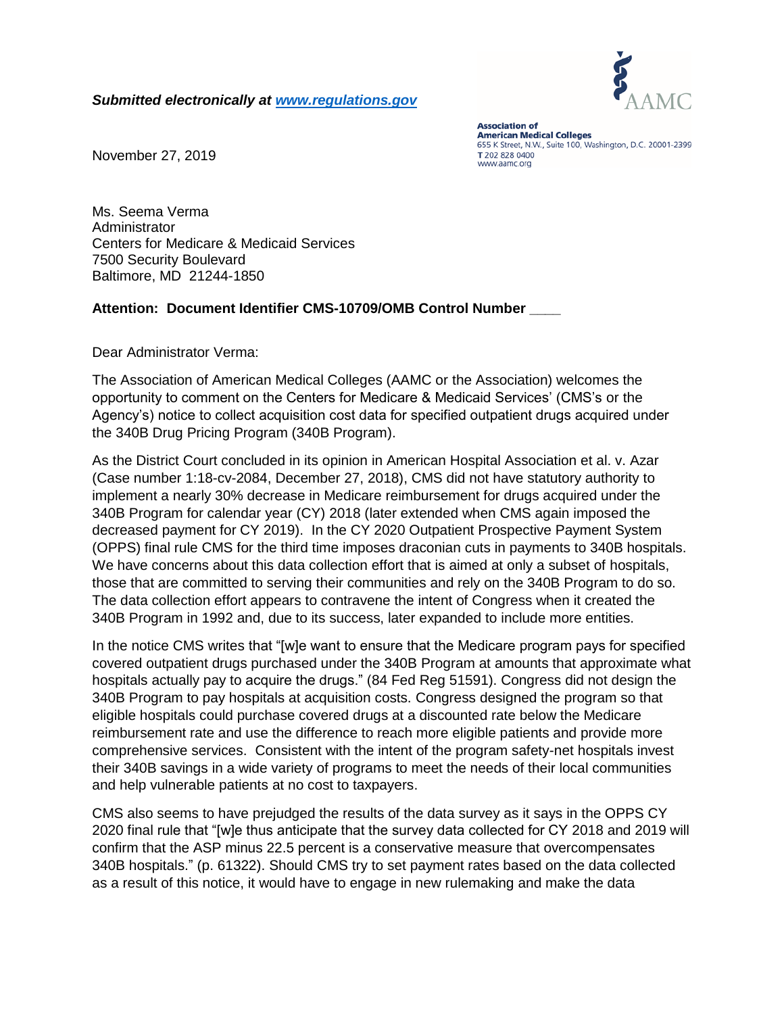

*Submitted electronically at [www.regulations.gov](http://www.regulations.gov/)*

**Association of American Medical Colleges** 655 K Street, N.W., Suite 100, Washington, D.C. 20001-2399 T 202 828 0400 www.aamc.org

November 27, 2019

Ms. Seema Verma Administrator Centers for Medicare & Medicaid Services 7500 Security Boulevard Baltimore, MD 21244-1850

## **Attention: Document Identifier CMS-10709/OMB Control Number \_\_\_\_**

Dear Administrator Verma:

The Association of American Medical Colleges (AAMC or the Association) welcomes the opportunity to comment on the Centers for Medicare & Medicaid Services' (CMS's or the Agency's) notice to collect acquisition cost data for specified outpatient drugs acquired under the 340B Drug Pricing Program (340B Program).

As the District Court concluded in its opinion in American Hospital Association et al. v. Azar (Case number 1:18-cv-2084, December 27, 2018), CMS did not have statutory authority to implement a nearly 30% decrease in Medicare reimbursement for drugs acquired under the 340B Program for calendar year (CY) 2018 (later extended when CMS again imposed the decreased payment for CY 2019). In the CY 2020 Outpatient Prospective Payment System (OPPS) final rule CMS for the third time imposes draconian cuts in payments to 340B hospitals. We have concerns about this data collection effort that is aimed at only a subset of hospitals, those that are committed to serving their communities and rely on the 340B Program to do so. The data collection effort appears to contravene the intent of Congress when it created the 340B Program in 1992 and, due to its success, later expanded to include more entities.

In the notice CMS writes that "[w]e want to ensure that the Medicare program pays for specified covered outpatient drugs purchased under the 340B Program at amounts that approximate what hospitals actually pay to acquire the drugs." (84 Fed Reg 51591). Congress did not design the 340B Program to pay hospitals at acquisition costs. Congress designed the program so that eligible hospitals could purchase covered drugs at a discounted rate below the Medicare reimbursement rate and use the difference to reach more eligible patients and provide more comprehensive services. Consistent with the intent of the program safety-net hospitals invest their 340B savings in a wide variety of programs to meet the needs of their local communities and help vulnerable patients at no cost to taxpayers.

CMS also seems to have prejudged the results of the data survey as it says in the OPPS CY 2020 final rule that "[w]e thus anticipate that the survey data collected for CY 2018 and 2019 will confirm that the ASP minus 22.5 percent is a conservative measure that overcompensates 340B hospitals." (p. 61322). Should CMS try to set payment rates based on the data collected as a result of this notice, it would have to engage in new rulemaking and make the data